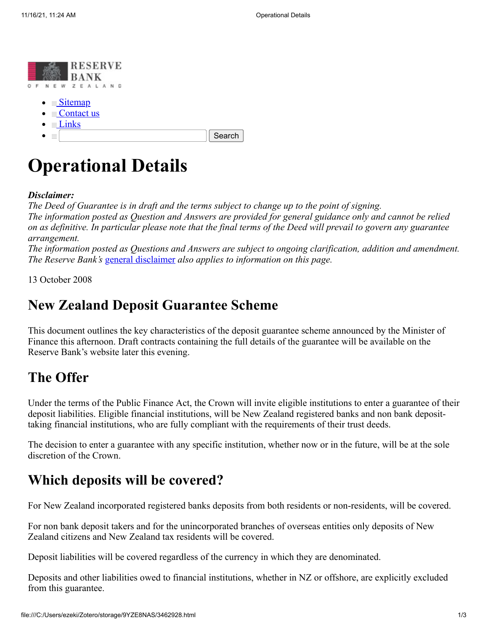

- $\bullet \equiv$  [Contact us](https://web.archive.org/web/20081014041622/http://www.rbnz.govt.nz/contact.html)
- $\bullet \equiv$  [Links](https://web.archive.org/web/20081014041622/http://www.rbnz.govt.nz/0096282.html)
- $\sim$

Search

# **Operational Details**

#### *Disclaimer:*

*The Deed of Guarantee is in draft and the terms subject to change up to the point of signing. The information posted as Question and Answers are provided for general guidance only and cannot be relied on as definitive. In particular please note that the final terms of the Deed will prevail to govern any guarantee arrangement.*

*The information posted as Questions and Answers are subject to ongoing clarification, addition and amendment. The Reserve Bank's* [general disclaimer](https://web.archive.org/web/20081014041622/http://www.rbnz.govt.nz/0161310.html) *also applies to information on this page.*

13 October 2008

#### **New Zealand Deposit Guarantee Scheme**

This document outlines the key characteristics of the deposit guarantee scheme announced by the Minister of Finance this afternoon. Draft contracts containing the full details of the guarantee will be available on the Reserve Bank's website later this evening.

#### **The Offer**

Under the terms of the Public Finance Act, the Crown will invite eligible institutions to enter a guarantee of their deposit liabilities. Eligible financial institutions, will be New Zealand registered banks and non bank deposittaking financial institutions, who are fully compliant with the requirements of their trust deeds.

The decision to enter a guarantee with any specific institution, whether now or in the future, will be at the sole discretion of the Crown.

#### **Which deposits will be covered?**

For New Zealand incorporated registered banks deposits from both residents or non-residents, will be covered.

For non bank deposit takers and for the unincorporated branches of overseas entities only deposits of New Zealand citizens and New Zealand tax residents will be covered.

Deposit liabilities will be covered regardless of the currency in which they are denominated.

Deposits and other liabilities owed to financial institutions, whether in NZ or offshore, are explicitly excluded from this guarantee.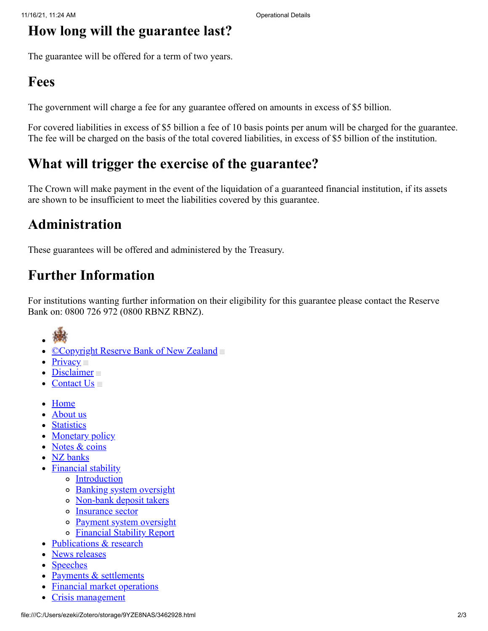#### **How long will the guarantee last?**

The guarantee will be offered for a term of two years.

### **Fees**

The government will charge a fee for any guarantee offered on amounts in excess of \$5 billion.

For covered liabilities in excess of \$5 billion a fee of 10 basis points per anum will be charged for the guarantee. The fee will be charged on the basis of the total covered liabilities, in excess of \$5 billion of the institution.

## **What will trigger the exercise of the guarantee?**

The Crown will make payment in the event of the liquidation of a guaranteed financial institution, if its assets are shown to be insufficient to meet the liabilities covered by this guarantee.

# **Administration**

These guarantees will be offered and administered by the Treasury.

# **Further Information**

For institutions wanting further information on their eligibility for this guarantee please contact the Reserve Bank on: 0800 726 972 (0800 RBNZ RBNZ).

- 
- [©Copyright Reserve Bank of New Zealand](https://web.archive.org/web/20081014041622/http://www.rbnz.govt.nz/0161308.html)
- $\bullet$  [Privacy](https://web.archive.org/web/20081014041622/http://www.rbnz.govt.nz/0161313.html)
- [Disclaimer](https://web.archive.org/web/20081014041622/http://www.rbnz.govt.nz/0161310.html)
- Contact  $Us \equiv$
- [Home](https://web.archive.org/web/20081014041622/http://www.rbnz.govt.nz/index.html)
- [About us](https://web.archive.org/web/20081014041622/http://www.rbnz.govt.nz/about/)
- **[Statistics](https://web.archive.org/web/20081014041622/http://www.rbnz.govt.nz/statistics/)**
- [Monetary policy](https://web.archive.org/web/20081014041622/http://www.rbnz.govt.nz/monpol/)
- [Notes & coins](https://web.archive.org/web/20081014041622/http://www.rbnz.govt.nz/currency/)
- [NZ banks](https://web.archive.org/web/20081014041622/http://www.rbnz.govt.nz/nzbanks/)
- [Financial stability](https://web.archive.org/web/20081014041622/http://www.rbnz.govt.nz/finstab/)
	- o [Introduction](https://web.archive.org/web/20081014041622/http://www.rbnz.govt.nz/finstab/index.html)
	- o [Banking system oversight](https://web.archive.org/web/20081014041622/http://www.rbnz.govt.nz/finstab/banking/)
	- [Non-bank deposit takers](https://web.archive.org/web/20081014041622/http://www.rbnz.govt.nz/finstab/nbdt/)
	- o [Insurance sector](https://web.archive.org/web/20081014041622/http://www.rbnz.govt.nz/finstab/nbdt/insurance/)
	- o [Payment system oversight](https://web.archive.org/web/20081014041622/http://www.rbnz.govt.nz/finstab/payment/)
	- o [Financial Stability Report](https://web.archive.org/web/20081014041622/http://www.rbnz.govt.nz/finstab/fsreport/)
- [Publications & research](https://web.archive.org/web/20081014041622/http://www.rbnz.govt.nz/research/)
- [News releases](https://web.archive.org/web/20081014041622/http://www.rbnz.govt.nz/news/)
- [Speeches](https://web.archive.org/web/20081014041622/http://www.rbnz.govt.nz/speeches/)
- [Payments & settlements](https://web.archive.org/web/20081014041622/http://www.rbnz.govt.nz/payment/)
- [Financial market operations](https://web.archive.org/web/20081014041622/http://www.rbnz.govt.nz/finmarkets/)
- [Crisis management](https://web.archive.org/web/20081014041622/http://www.rbnz.govt.nz/crisismgmt/)